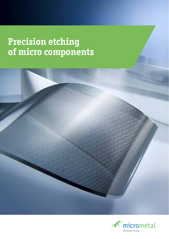### **Precision etching of micro components**



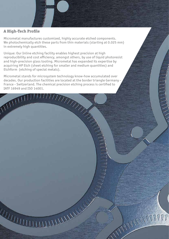#### **A High-Tech Profile**

Micrometal manufactures customized, highly accurate etched components. We photochemically etch these parts from thin materials (starting at 0.025 mm) in extremely high quantities.

Unique: Our Inline etching facility enables highest precision at high reproducibility and cost efficiency, amongst others, by use of liquid photoresist and high-precision glass tooling. Micrometal has expanded its expertise by acquiring HP Etch (sheet etching for smaller and medium quantities) and Etchform (etching of special metals).

Micrometal stands for microsystem technology know-how accumulated over decades. Our production facilities are located at the border triangle Germany - France - Switzerland. The chemical precision etching process is certified to<br>IATF 16949 and ISO 14001.<br>All and ISO 14001. IATF 16949 and ISO 14001.

**HANNY** 

**HITTLE** 

**THE REAL PROPERTY AND REAL PROPERTY AND REAL PROPERTY.**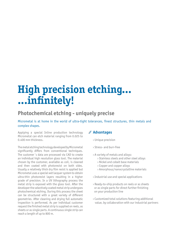# **High precision etching... ...infinitely!**

### **Photochemical etching - uniquely precise**

Micrometal is at home in the world of ultra-tight tolerances, finest structures, thin metals and complex shapes.

Applying a special Inline production technology Micrometal can etch material ranging from 0.025 to 0.400 mm thickness.

The metal etching technology developed by Micrometal significantly differs from conventional techniques. The customer´s data are processed via CAD to create an individual high resolution glass tool. The material chosen by the customer, available as coil, is cleaned and then coated with photoresist on both sides. Usually a relatively thick dry film resist is applied but Micrometal uses a special wet lacquer system to obtain ultra-thin photoresist layers resulting in a higher grade of precision. In a UV lithography process the metal strip is exposed with the glass tool. After the developer the selectively coated metal strip undergoes photochemical etching. During this process the sheet can be structured with a great variety of different geometries. After cleaning and drying full automatic inspection is performed. As per individual customer request the finished metal strip is supplied on reels, as sheets or as single parts. A continuous single strip can reach a length of up to 800 m.

#### **Advantages**

- › Unique precision
- › Stress- and burr-free
- › A variety of metals and alloys:
	- › Stainless steels and other steel alloys
	- › Nickel and cobalt base materials
	- › Copper and copper alloys
	- › Amorphous/nanocrystalline materials
- › Industrial use and special applications
- › Ready-to-ship products on reels or as sheets or as single parts for direct further finishing on your production line
- › Customized total solutions featuring additional value, by collaboration with our industrial partners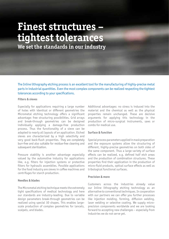# **Finest structures – tightest tolerances**

**We set the standards in our industry**

The Inline lithography etching process is an excellent tool for the manufacturing of highly-precise metal parts in industrial quantities. Even the most complex components can be realized respecting the tightest tolerances according to your specifications.

#### **Filters & sieves**

Especially for applications requiring a large number of holes with identical or different geometries the Micrometal etching technology offers a significant advantage: free structuring possibilities. Grid arrays and break-through geometries can be designed individually applying a damage-free production process. Thus the functionality of a sieve can be adapted to nearly all layouts of an application. Etched sieves are characterized by a high selectivity and very good back-flush properties. They are completely burr-free and also suitable for residue-free cleaning and subsequent sterilization.

Pressure stability is another advantage especially valued by the automotive industry for applications like, e.g. filters for injection systems or protective filters for hydraulic assemblies. Possible applications for the food industry are sieves in coffee machines and centrifuges for starch production.

#### **Needles & blades**

The Micrometal etching technique meets the extremely tight specifications of medical technology and here our standards are industry-leading. Due to variable design parameters break-through geometries can be realized using special 3D shapes. This enables largescale production of complex geometries for lancets, scalpels, and blades.

Additional advantages: no stress is induced into the material and the chemical as well as the physical properties remain unchanged. These are decisive arguments for applying this technology in the production of micro-surgical instruments, saws or combs for medical use.

#### **Surface & function**

Special process parameters applied in mask preparation and the exposure systems allow the structuring of different, highly-precise geometries on both sides of the same component. Thus a large variety of surface effects can be realized, e.g. defined half etch areas and the production of combination structures. These properties find their application in the production of micro-fluid products, optical surface effects as well as tribological functional surfaces.

#### **Precision & more**

Customers across the industries already value our Inline lithography etching technology as an alternative to conventional techniques. In cooperation with our partners we can offer you further processes like injection molding, forming, diffusion welding, laser welding or selective coating. We supply microprecision components worldwide and we are looking forward to accepting new challenges – especially from industries we do not serve yet.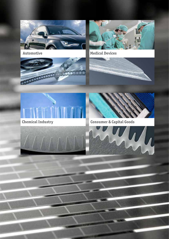











**Chemical Industry Consumer & Capital Goods** 



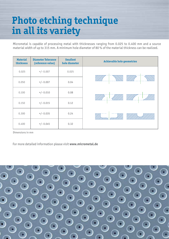### **Photo etching technique in all its variety**

Micrometal is capable of processing metal with thicknesses ranging from 0.025 to 0.400 mm and a source material width of up to 315 mm. A minimum hole diameter of 80 % of the material thickness can be realized.

| <b>Material</b><br>thickness | <b>Diameter Tolerance</b><br>(reference value) | <b>Smallest</b><br>hole diameter | <b>Achievable hole geometries</b> |
|------------------------------|------------------------------------------------|----------------------------------|-----------------------------------|
| 0.025                        | $+/- 0.007$                                    | 0.025                            |                                   |
| 0.050                        | $+/- 0.007$                                    | 0.04                             |                                   |
| 0.100                        | $+/- 0.010$                                    | 0.08                             |                                   |
| 0.150                        | $+/- 0.015$                                    | 0.12                             |                                   |
| 0.300                        | $+/- 0.035$                                    | 0.24                             |                                   |
| 0.400                        | $+/- 0.045$                                    | 0.32                             |                                   |

Dimensions in mm

For more detailed information please visit **www.micrometal.de** 

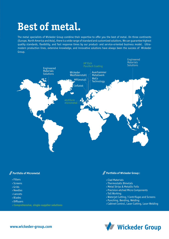## **Best of metal.**

The metal specialists of Wickeder Group combine their expertise to offer you the best of metal. On three continents (Europe, North America and Asia), there is a wide range of standard and customized solutions. We can guarantee highest quality standards, flexibility, and fast response times by our product- and service-oriented business model. Ultramodern production lines, extensive knowledge, and innovative solutions have always been the success of Wickeder Group.



#### **Portfolio of Micrometal**

- › Filters
- › Screens
- › Grids
- › Needles
- › Lancets
- › Blades
- › Diffusers
- **› Comprehensive, single-supplier solutions**

#### **Portfolio of Wickeder Group :**

- › Clad Materials
- › Thermostatic Bimetals
- › Metal Strips & Metallic Foils
- › Precision-etched Micro Components
- › Toll Working
- › Waterjet Cutting / Centrifuges and Screens
- › Punching, Bending, Welding
- › Cabinet Control, Laser Cutting, Laser Welding



**www.wickeder-group.com**